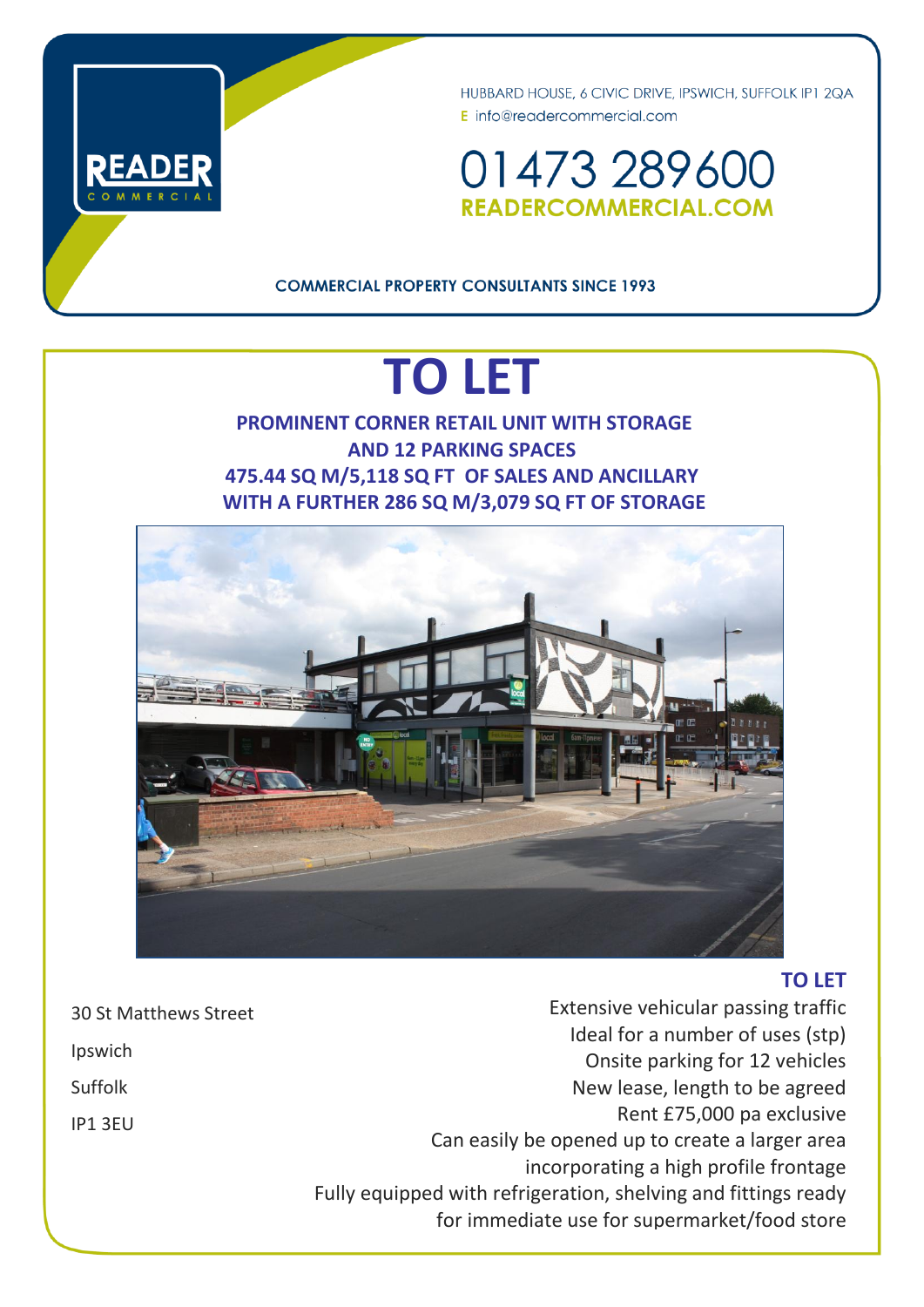



01473289600 READERCOMMERCIAL.COM

## **COMMERCIAL PROPERTY CONSULTANTS SINCE 1993**

# **TO LET**

**PROMINENT CORNER RETAIL UNIT WITH STORAGE AND 12 PARKING SPACES 475.44 SQ M/5,118 SQ FT OF SALES AND ANCILLARY WITH A FURTHER 286 SQ M/3,079 SQ FT OF STORAGE**



## **TO LET**

Extensive vehicular passing traffic Ideal for a number of uses (stp) Onsite parking for 12 vehicles New lease, length to be agreed Rent £75,000 pa exclusive Can easily be opened up to create a larger area incorporating a high profile frontage Fully equipped with refrigeration, shelving and fittings ready for immediate use for supermarket/food store

30 St Matthews Street Ipswich Suffolk IP1 3EU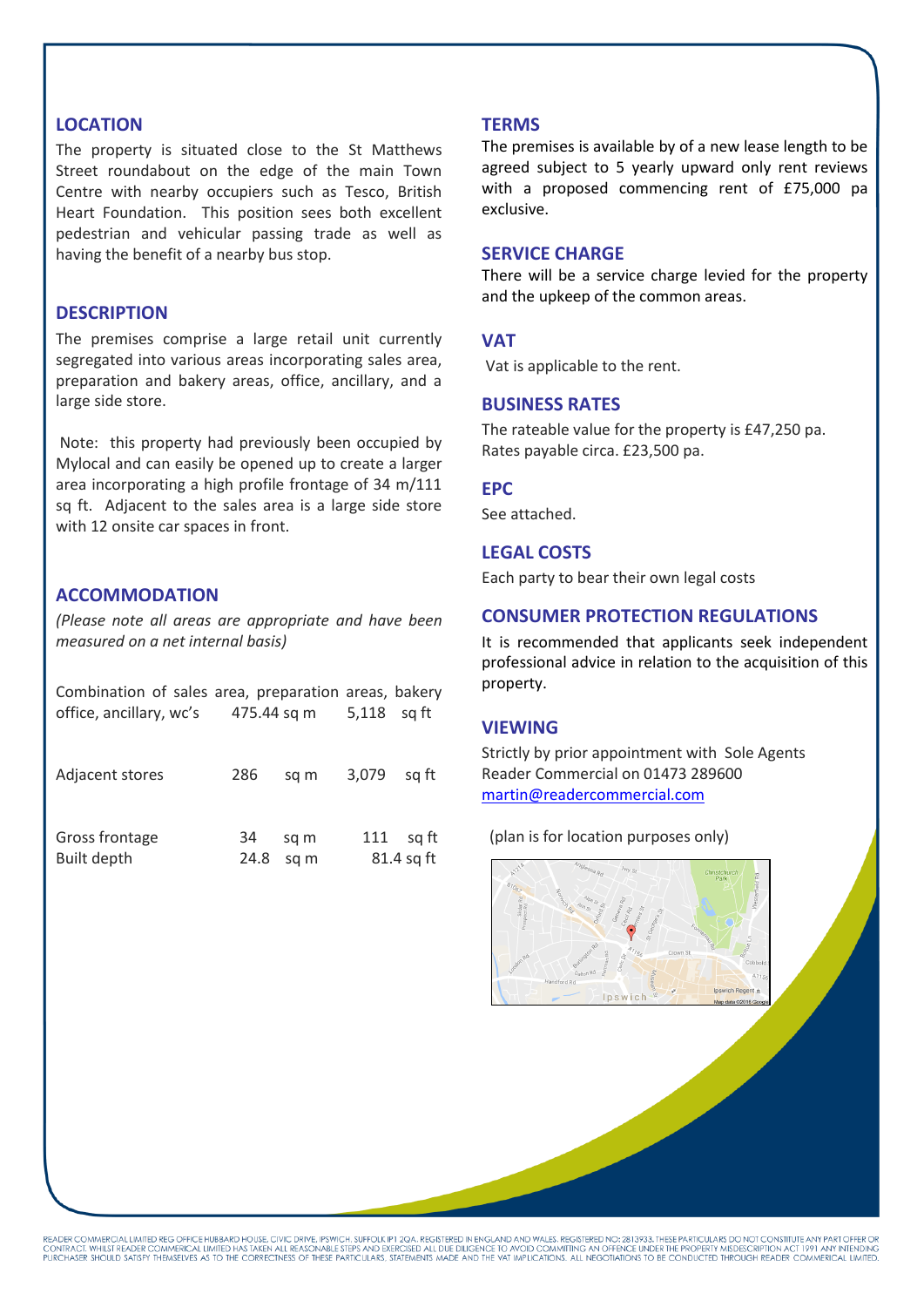### **LOCATION**

The property is situated close to the St Matthews Street roundabout on the edge of the main Town Centre with nearby occupiers such as Tesco, British Heart Foundation. This position sees both excellent pedestrian and vehicular passing trade as well as having the benefit of a nearby bus stop.

## **DESCRIPTION**

The premises comprise a large retail unit currently segregated into various areas incorporating sales area, preparation and bakery areas, office, ancillary, and a large side store.

Note: this property had previously been occupied by Mylocal and can easily be opened up to create a larger area incorporating a high profile frontage of 34 m/111 sq ft. Adjacent to the sales area is a large side store with 12 onsite car spaces in front.

## **ACCOMMODATION**

*(Please note all areas are appropriate and have been measured on a net internal basis)*

| Combination of sales area, preparation areas, bakery |                         |      |            |       |
|------------------------------------------------------|-------------------------|------|------------|-------|
| office, ancillary, wc's                              | 475.44 sq m 5,118 sq ft |      |            |       |
|                                                      |                         |      |            |       |
|                                                      |                         |      |            |       |
| Adjacent stores                                      | 286                     | sa m | 3,079      | sa ft |
|                                                      |                         |      |            |       |
|                                                      |                         |      |            |       |
| Gross frontage                                       | 34                      | sq m | 111        | sa ft |
| Built depth                                          | 24.8                    | sa m | 81.4 sq ft |       |

#### **TERMS**

The premises is available by of a new lease length to be agreed subject to 5 yearly upward only rent reviews with a proposed commencing rent of £75,000 pa exclusive.

#### **SERVICE CHARGE**

There will be a service charge levied for the property and the upkeep of the common areas.

#### **VAT**

Vat is applicable to the rent.

#### **BUSINESS RATES**

The rateable value for the property is £47,250 pa. Rates payable circa. £23,500 pa.

#### **EPC**

See attached.

## **LEGAL COSTS**

Each party to bear their own legal costs

## **CONSUMER PROTECTION REGULATIONS**

It is recommended that applicants seek independent professional advice in relation to the acquisition of this property.

#### **VIEWING**

Strictly by prior appointment with Sole Agents Reader Commercial on 01473 289600 [martin@readercommercial.com](mailto:martin@readercommercial.com) 

(plan is for location purposes only)